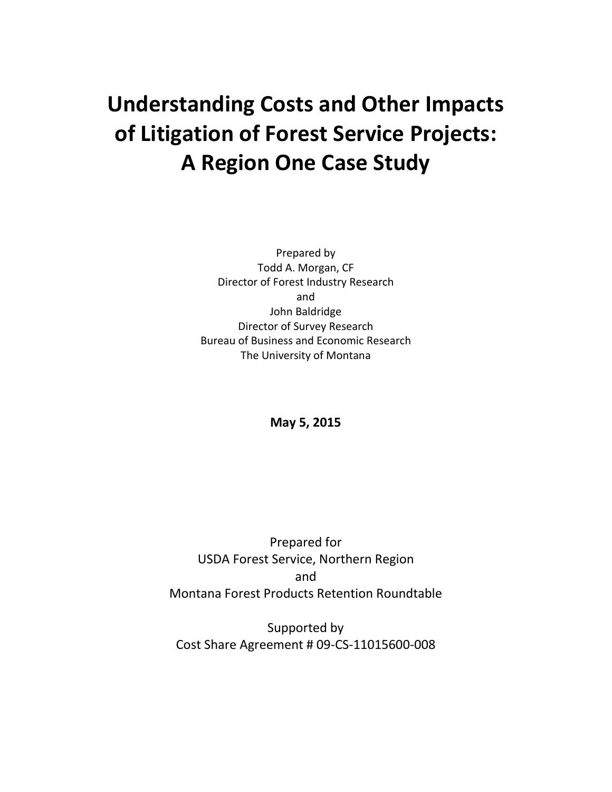# **Understanding Costs and Other Impacts of Litigation of Forest Service Projects: A Region One Case Study**

Prepared by Todd A. Morgan, CF Director of Forest Industry Research and John Baldridge Director of Survey Research Bureau of Business and Economic Research The University of Montana

**May 5, 2015**

Prepared for USDA Forest Service, Northern Region and Montana Forest Products Retention Roundtable

Supported by Cost Share Agreement # 09-CS-11015600-008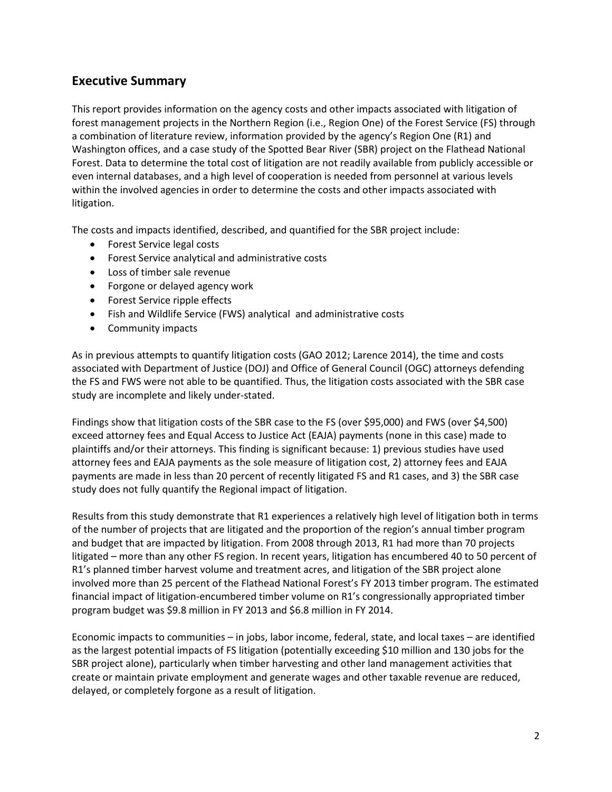# **Executive Summary**

This report provides information on the agency costs and other impacts associated with litigation of forest management projects in the Northern Region (i.e., Region One) of the Forest Service (FS) through a combination of literature review, information provided by the agency's Region One (R1) and Washington offices, and a case study of the Spotted Bear River (SBR) project on the Flathead National Forest. Data to determine the total cost of litigation are not readily available from publicly accessible or even internal databases, and a high level of cooperation is needed from personnel at various levels within the involved agencies in order to determine the costs and other impacts associated with litigation.

The costs and impacts identified, described, and quantified for the SBR project include:

- Forest Service legal costs
- Forest Service analytical and administrative costs
- Loss of timber sale revenue
- Forgone or delayed agency work
- Forest Service ripple effects
- Fish and Wildlife Service (FWS) analytical and administrative costs
- Community impacts

As in previous attempts to quantify litigation costs (GAO 2012; Larence 2014), the time and costs associated with Department of Justice (DOJ) and Office of General Council (OGC) attorneys defending the FS and FWS were not able to be quantified. Thus, the litigation costs associated with the SBR case study are incomplete and likely under-stated.

Findings show that litigation costs of the SBR case to the FS (over \$95,000) and FWS (over \$4,500) exceed attorney fees and Equal Access to Justice Act (EAJA) payments (none in this case) made to plaintiffs and/or their attorneys. This finding is significant because: 1) previous studies have used attorney fees and EAJA payments as the sole measure of litigation cost, 2) attorney fees and EAJA payments are made in less than 20 percent of recently litigated FS and R1 cases, and 3) the SBR case study does not fully quantify the Regional impact of litigation.

Results from this study demonstrate that R1 experiences a relatively high level of litigation both in terms of the number of projects that are litigated and the proportion of the region's annual timber program and budget that are impacted by litigation. From 2008 through 2013, R1 had more than 70 projects litigated – more than any other FS region. In recent years, litigation has encumbered 40 to 50 percent of R1's planned timber harvest volume and treatment acres, and litigation of the SBR project alone involved more than 25 percent of the Flathead National Forest's FY 2013 timber program. The estimated financial impact of litigation-encumbered timber volume on R1's congressionally appropriated timber program budget was \$9.8 million in FY 2013 and \$6.8 million in FY 2014.

Economic impacts to communities – in jobs, labor income, federal, state, and local taxes – are identified as the largest potential impacts of FS litigation (potentially exceeding \$10 million and 130 jobs for the SBR project alone), particularly when timber harvesting and other land management activities that create or maintain private employment and generate wages and other taxable revenue are reduced, delayed, or completely forgone as a result of litigation.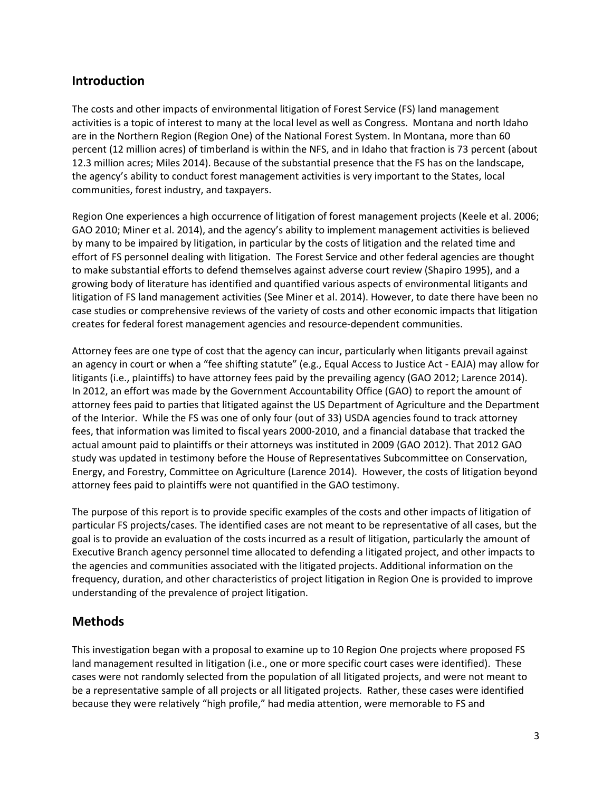# **Introduction**

The costs and other impacts of environmental litigation of Forest Service (FS) land management activities is a topic of interest to many at the local level as well as Congress. Montana and north Idaho are in the Northern Region (Region One) of the National Forest System. In Montana, more than 60 percent (12 million acres) of timberland is within the NFS, and in Idaho that fraction is 73 percent (about 12.3 million acres; Miles 2014). Because of the substantial presence that the FS has on the landscape, the agency's ability to conduct forest management activities is very important to the States, local communities, forest industry, and taxpayers.

Region One experiences a high occurrence of litigation of forest management projects (Keele et al. 2006; GAO 2010; Miner et al. 2014), and the agency's ability to implement management activities is believed by many to be impaired by litigation, in particular by the costs of litigation and the related time and effort of FS personnel dealing with litigation. The Forest Service and other federal agencies are thought to make substantial efforts to defend themselves against adverse court review (Shapiro 1995), and a growing body of literature has identified and quantified various aspects of environmental litigants and litigation of FS land management activities (See Miner et al. 2014). However, to date there have been no case studies or comprehensive reviews of the variety of costs and other economic impacts that litigation creates for federal forest management agencies and resource-dependent communities.

Attorney fees are one type of cost that the agency can incur, particularly when litigants prevail against an agency in court or when a "fee shifting statute" (e.g., Equal Access to Justice Act - EAJA) may allow for litigants (i.e., plaintiffs) to have attorney fees paid by the prevailing agency (GAO 2012; Larence 2014). In 2012, an effort was made by the Government Accountability Office (GAO) to report the amount of attorney fees paid to parties that litigated against the US Department of Agriculture and the Department of the Interior. While the FS was one of only four (out of 33) USDA agencies found to track attorney fees, that information was limited to fiscal years 2000-2010, and a financial database that tracked the actual amount paid to plaintiffs or their attorneys was instituted in 2009 (GAO 2012). That 2012 GAO study was updated in testimony before the House of Representatives Subcommittee on Conservation, Energy, and Forestry, Committee on Agriculture (Larence 2014). However, the costs of litigation beyond attorney fees paid to plaintiffs were not quantified in the GAO testimony.

The purpose of this report is to provide specific examples of the costs and other impacts of litigation of particular FS projects/cases. The identified cases are not meant to be representative of all cases, but the goal is to provide an evaluation of the costs incurred as a result of litigation, particularly the amount of Executive Branch agency personnel time allocated to defending a litigated project, and other impacts to the agencies and communities associated with the litigated projects. Additional information on the frequency, duration, and other characteristics of project litigation in Region One is provided to improve understanding of the prevalence of project litigation.

# **Methods**

This investigation began with a proposal to examine up to 10 Region One projects where proposed FS land management resulted in litigation (i.e., one or more specific court cases were identified). These cases were not randomly selected from the population of all litigated projects, and were not meant to be a representative sample of all projects or all litigated projects. Rather, these cases were identified because they were relatively "high profile," had media attention, were memorable to FS and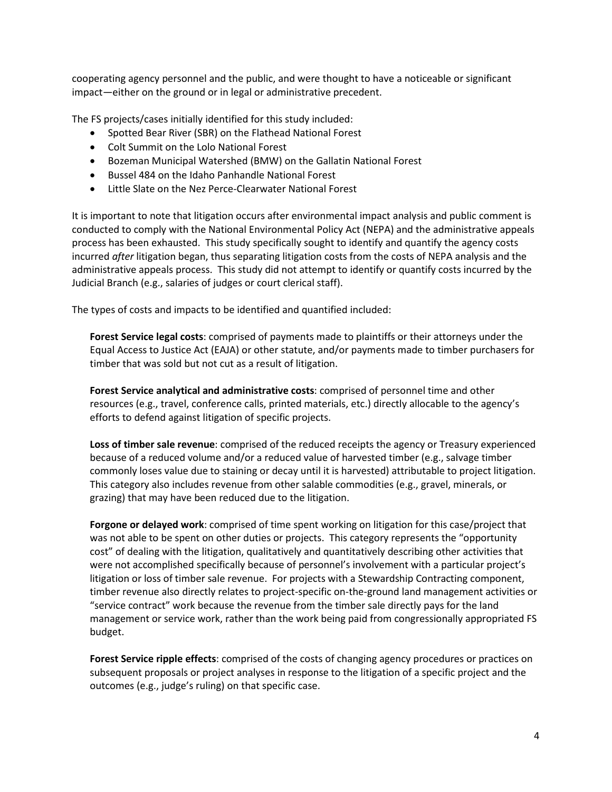cooperating agency personnel and the public, and were thought to have a noticeable or significant impact—either on the ground or in legal or administrative precedent.

The FS projects/cases initially identified for this study included:

- Spotted Bear River (SBR) on the Flathead National Forest
- Colt Summit on the Lolo National Forest
- Bozeman Municipal Watershed (BMW) on the Gallatin National Forest
- Bussel 484 on the Idaho Panhandle National Forest
- Little Slate on the Nez Perce-Clearwater National Forest

It is important to note that litigation occurs after environmental impact analysis and public comment is conducted to comply with the National Environmental Policy Act (NEPA) and the administrative appeals process has been exhausted. This study specifically sought to identify and quantify the agency costs incurred *after* litigation began, thus separating litigation costs from the costs of NEPA analysis and the administrative appeals process. This study did not attempt to identify or quantify costs incurred by the Judicial Branch (e.g., salaries of judges or court clerical staff).

The types of costs and impacts to be identified and quantified included:

**Forest Service legal costs**: comprised of payments made to plaintiffs or their attorneys under the Equal Access to Justice Act (EAJA) or other statute, and/or payments made to timber purchasers for timber that was sold but not cut as a result of litigation.

**Forest Service analytical and administrative costs**: comprised of personnel time and other resources (e.g., travel, conference calls, printed materials, etc.) directly allocable to the agency's efforts to defend against litigation of specific projects.

**Loss of timber sale revenue**: comprised of the reduced receipts the agency or Treasury experienced because of a reduced volume and/or a reduced value of harvested timber (e.g., salvage timber commonly loses value due to staining or decay until it is harvested) attributable to project litigation. This category also includes revenue from other salable commodities (e.g., gravel, minerals, or grazing) that may have been reduced due to the litigation.

**Forgone or delayed work**: comprised of time spent working on litigation for this case/project that was not able to be spent on other duties or projects. This category represents the "opportunity cost" of dealing with the litigation, qualitatively and quantitatively describing other activities that were not accomplished specifically because of personnel's involvement with a particular project's litigation or loss of timber sale revenue. For projects with a Stewardship Contracting component, timber revenue also directly relates to project-specific on-the-ground land management activities or "service contract" work because the revenue from the timber sale directly pays for the land management or service work, rather than the work being paid from congressionally appropriated FS budget.

**Forest Service ripple effects**: comprised of the costs of changing agency procedures or practices on subsequent proposals or project analyses in response to the litigation of a specific project and the outcomes (e.g., judge's ruling) on that specific case.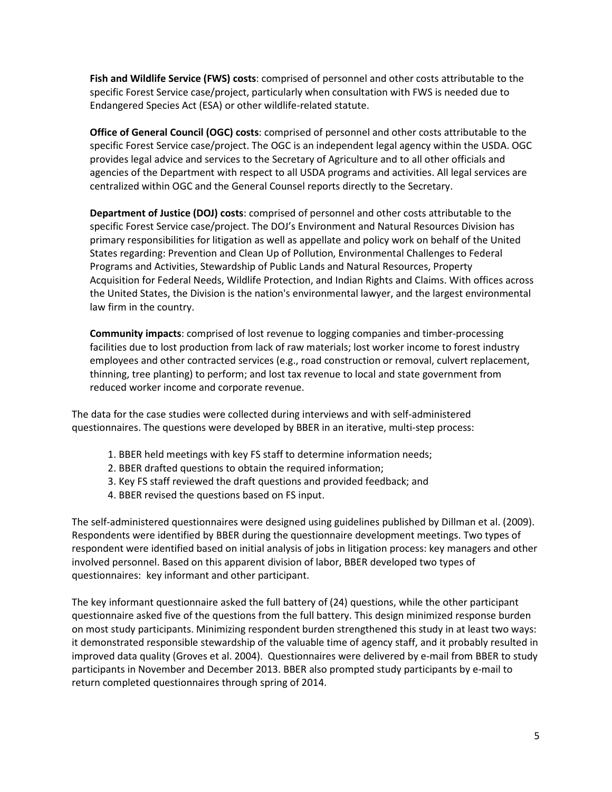**Fish and Wildlife Service (FWS) costs**: comprised of personnel and other costs attributable to the specific Forest Service case/project, particularly when consultation with FWS is needed due to Endangered Species Act (ESA) or other wildlife-related statute.

**Office of General Council (OGC) costs**: comprised of personnel and other costs attributable to the specific Forest Service case/project. The OGC is an independent legal agency within the USDA. OGC provides legal advice and services to the Secretary of Agriculture and to all other officials and agencies of the Department with respect to all USDA programs and activities. All legal services are centralized within OGC and the General Counsel reports directly to the Secretary.

**Department of Justice (DOJ) costs**: comprised of personnel and other costs attributable to the specific Forest Service case/project. The DOJ's Environment and Natural Resources Division has primary responsibilities for litigation as well as appellate and policy work on behalf of the United States regarding: Prevention and Clean Up of Pollution, Environmental Challenges to Federal Programs and Activities, Stewardship of Public Lands and Natural Resources, Property Acquisition for Federal Needs, Wildlife Protection, and Indian Rights and Claims. With offices across the United States, the Division is the nation's environmental lawyer, and the largest environmental law firm in the country.

**Community impacts**: comprised of lost revenue to logging companies and timber-processing facilities due to lost production from lack of raw materials; lost worker income to forest industry employees and other contracted services (e.g., road construction or removal, culvert replacement, thinning, tree planting) to perform; and lost tax revenue to local and state government from reduced worker income and corporate revenue.

The data for the case studies were collected during interviews and with self-administered questionnaires. The questions were developed by BBER in an iterative, multi-step process:

- 1. BBER held meetings with key FS staff to determine information needs;
- 2. BBER drafted questions to obtain the required information;
- 3. Key FS staff reviewed the draft questions and provided feedback; and
- 4. BBER revised the questions based on FS input.

The self-administered questionnaires were designed using guidelines published by Dillman et al. (2009). Respondents were identified by BBER during the questionnaire development meetings. Two types of respondent were identified based on initial analysis of jobs in litigation process: key managers and other involved personnel. Based on this apparent division of labor, BBER developed two types of questionnaires: key informant and other participant.

The key informant questionnaire asked the full battery of (24) questions, while the other participant questionnaire asked five of the questions from the full battery. This design minimized response burden on most study participants. Minimizing respondent burden strengthened this study in at least two ways: it demonstrated responsible stewardship of the valuable time of agency staff, and it probably resulted in improved data quality (Groves et al. 2004). Questionnaires were delivered by e-mail from BBER to study participants in November and December 2013. BBER also prompted study participants by e-mail to return completed questionnaires through spring of 2014.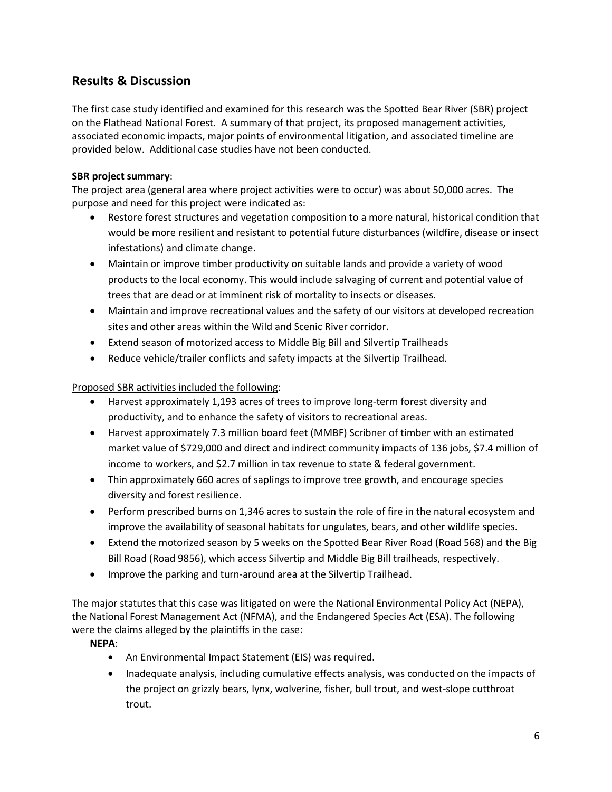# **Results & Discussion**

The first case study identified and examined for this research was the Spotted Bear River (SBR) project on the Flathead National Forest. A summary of that project, its proposed management activities, associated economic impacts, major points of environmental litigation, and associated timeline are provided below. Additional case studies have not been conducted.

## **SBR project summary**:

The project area (general area where project activities were to occur) was about 50,000 acres. The purpose and need for this project were indicated as:

- Restore forest structures and vegetation composition to a more natural, historical condition that would be more resilient and resistant to potential future disturbances (wildfire, disease or insect infestations) and climate change.
- Maintain or improve timber productivity on suitable lands and provide a variety of wood products to the local economy. This would include salvaging of current and potential value of trees that are dead or at imminent risk of mortality to insects or diseases.
- Maintain and improve recreational values and the safety of our visitors at developed recreation sites and other areas within the Wild and Scenic River corridor.
- Extend season of motorized access to Middle Big Bill and Silvertip Trailheads
- Reduce vehicle/trailer conflicts and safety impacts at the Silvertip Trailhead.

## Proposed SBR activities included the following:

- Harvest approximately 1,193 acres of trees to improve long-term forest diversity and productivity, and to enhance the safety of visitors to recreational areas.
- Harvest approximately 7.3 million board feet (MMBF) Scribner of timber with an estimated market value of \$729,000 and direct and indirect community impacts of 136 jobs, \$7.4 million of income to workers, and \$2.7 million in tax revenue to state & federal government.
- Thin approximately 660 acres of saplings to improve tree growth, and encourage species diversity and forest resilience.
- Perform prescribed burns on 1,346 acres to sustain the role of fire in the natural ecosystem and improve the availability of seasonal habitats for ungulates, bears, and other wildlife species.
- Extend the motorized season by 5 weeks on the Spotted Bear River Road (Road 568) and the Big Bill Road (Road 9856), which access Silvertip and Middle Big Bill trailheads, respectively.
- Improve the parking and turn-around area at the Silvertip Trailhead.

The major statutes that this case was litigated on were the National Environmental Policy Act (NEPA), the National Forest Management Act (NFMA), and the Endangered Species Act (ESA). The following were the claims alleged by the plaintiffs in the case:

## **NEPA**:

- An Environmental Impact Statement (EIS) was required.
- Inadequate analysis, including cumulative effects analysis, was conducted on the impacts of the project on grizzly bears, lynx, wolverine, fisher, bull trout, and west-slope cutthroat trout.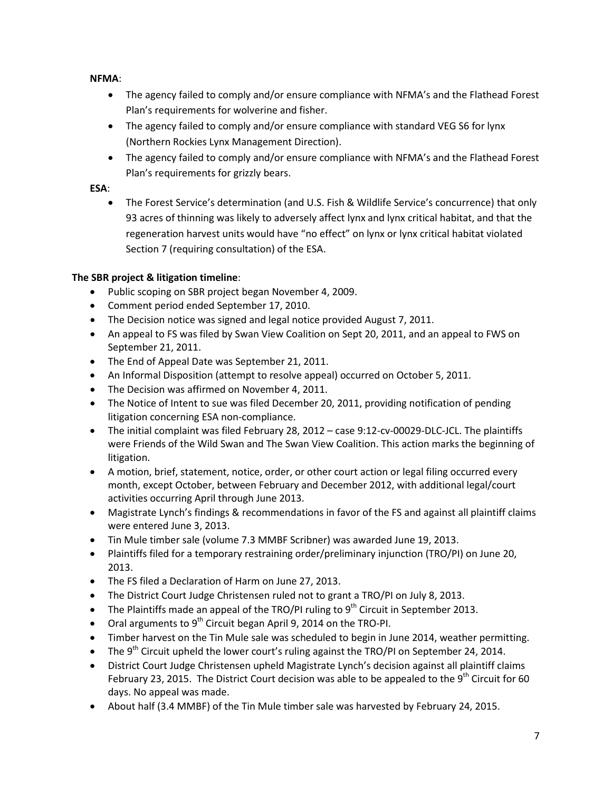**NFMA**:

- The agency failed to comply and/or ensure compliance with NFMA's and the Flathead Forest Plan's requirements for wolverine and fisher.
- The agency failed to comply and/or ensure compliance with standard VEG S6 for lynx (Northern Rockies Lynx Management Direction).
- The agency failed to comply and/or ensure compliance with NFMA's and the Flathead Forest Plan's requirements for grizzly bears.

## **ESA**:

• The Forest Service's determination (and U.S. Fish & Wildlife Service's concurrence) that only 93 acres of thinning was likely to adversely affect lynx and lynx critical habitat, and that the regeneration harvest units would have "no effect" on lynx or lynx critical habitat violated Section 7 (requiring consultation) of the ESA.

## **The SBR project & litigation timeline**:

- Public scoping on SBR project began November 4, 2009.
- Comment period ended September 17, 2010.
- The Decision notice was signed and legal notice provided August 7, 2011.
- An appeal to FS was filed by Swan View Coalition on Sept 20, 2011, and an appeal to FWS on September 21, 2011.
- The End of Appeal Date was September 21, 2011.
- An Informal Disposition (attempt to resolve appeal) occurred on October 5, 2011.
- The Decision was affirmed on November 4, 2011.
- The Notice of Intent to sue was filed December 20, 2011, providing notification of pending litigation concerning ESA non-compliance.
- The initial complaint was filed February 28, 2012 case 9:12-cv-00029-DLC-JCL. The plaintiffs were Friends of the Wild Swan and The Swan View Coalition. This action marks the beginning of litigation.
- A motion, brief, statement, notice, order, or other court action or legal filing occurred every month, except October, between February and December 2012, with additional legal/court activities occurring April through June 2013.
- Magistrate Lynch's findings & recommendations in favor of the FS and against all plaintiff claims were entered June 3, 2013.
- Tin Mule timber sale (volume 7.3 MMBF Scribner) was awarded June 19, 2013.
- Plaintiffs filed for a temporary restraining order/preliminary injunction (TRO/PI) on June 20, 2013.
- The FS filed a Declaration of Harm on June 27, 2013.
- The District Court Judge Christensen ruled not to grant a TRO/PI on July 8, 2013.
- The Plaintiffs made an appeal of the TRO/PI ruling to  $9<sup>th</sup>$  Circuit in September 2013.
- Oral arguments to  $9^{th}$  Circuit began April 9, 2014 on the TRO-PI.
- Timber harvest on the Tin Mule sale was scheduled to begin in June 2014, weather permitting.
- The 9<sup>th</sup> Circuit upheld the lower court's ruling against the TRO/PI on September 24, 2014.
- District Court Judge Christensen upheld Magistrate Lynch's decision against all plaintiff claims February 23, 2015. The District Court decision was able to be appealed to the  $9<sup>th</sup>$  Circuit for 60 days. No appeal was made.
- About half (3.4 MMBF) of the Tin Mule timber sale was harvested by February 24, 2015.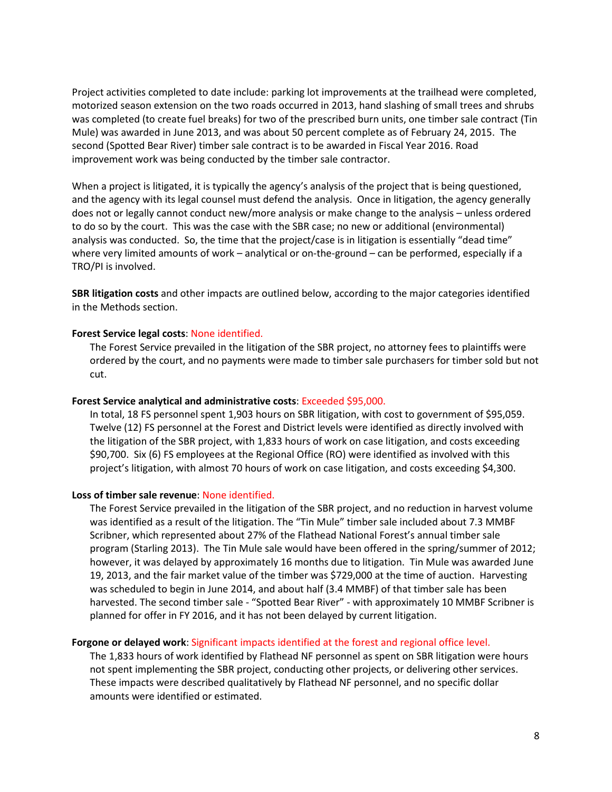Project activities completed to date include: parking lot improvements at the trailhead were completed, motorized season extension on the two roads occurred in 2013, hand slashing of small trees and shrubs was completed (to create fuel breaks) for two of the prescribed burn units, one timber sale contract (Tin Mule) was awarded in June 2013, and was about 50 percent complete as of February 24, 2015. The second (Spotted Bear River) timber sale contract is to be awarded in Fiscal Year 2016. Road improvement work was being conducted by the timber sale contractor.

When a project is litigated, it is typically the agency's analysis of the project that is being questioned, and the agency with its legal counsel must defend the analysis. Once in litigation, the agency generally does not or legally cannot conduct new/more analysis or make change to the analysis – unless ordered to do so by the court. This was the case with the SBR case; no new or additional (environmental) analysis was conducted. So, the time that the project/case is in litigation is essentially "dead time" where very limited amounts of work – analytical or on-the-ground – can be performed, especially if a TRO/PI is involved.

**SBR litigation costs** and other impacts are outlined below, according to the major categories identified in the Methods section.

#### **Forest Service legal costs**: None identified.

The Forest Service prevailed in the litigation of the SBR project, no attorney fees to plaintiffs were ordered by the court, and no payments were made to timber sale purchasers for timber sold but not cut.

#### **Forest Service analytical and administrative costs**: Exceeded \$95,000.

In total, 18 FS personnel spent 1,903 hours on SBR litigation, with cost to government of \$95,059. Twelve (12) FS personnel at the Forest and District levels were identified as directly involved with the litigation of the SBR project, with 1,833 hours of work on case litigation, and costs exceeding \$90,700. Six (6) FS employees at the Regional Office (RO) were identified as involved with this project's litigation, with almost 70 hours of work on case litigation, and costs exceeding \$4,300.

#### **Loss of timber sale revenue**: None identified.

The Forest Service prevailed in the litigation of the SBR project, and no reduction in harvest volume was identified as a result of the litigation. The "Tin Mule" timber sale included about 7.3 MMBF Scribner, which represented about 27% of the Flathead National Forest's annual timber sale program (Starling 2013). The Tin Mule sale would have been offered in the spring/summer of 2012; however, it was delayed by approximately 16 months due to litigation. Tin Mule was awarded June 19, 2013, and the fair market value of the timber was \$729,000 at the time of auction. Harvesting was scheduled to begin in June 2014, and about half (3.4 MMBF) of that timber sale has been harvested. The second timber sale - "Spotted Bear River" - with approximately 10 MMBF Scribner is planned for offer in FY 2016, and it has not been delayed by current litigation.

#### **Forgone or delayed work**: Significant impacts identified at the forest and regional office level.

The 1,833 hours of work identified by Flathead NF personnel as spent on SBR litigation were hours not spent implementing the SBR project, conducting other projects, or delivering other services. These impacts were described qualitatively by Flathead NF personnel, and no specific dollar amounts were identified or estimated.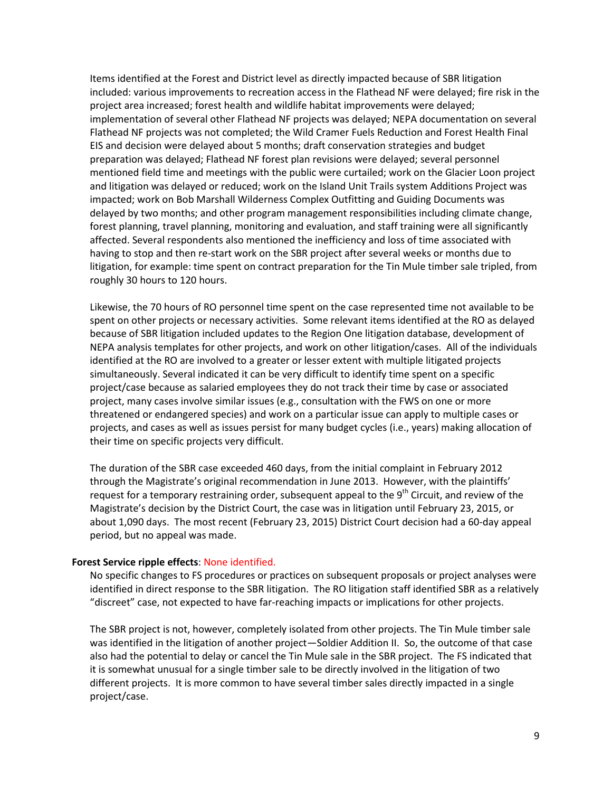Items identified at the Forest and District level as directly impacted because of SBR litigation included: various improvements to recreation access in the Flathead NF were delayed; fire risk in the project area increased; forest health and wildlife habitat improvements were delayed; implementation of several other Flathead NF projects was delayed; NEPA documentation on several Flathead NF projects was not completed; the Wild Cramer Fuels Reduction and Forest Health Final EIS and decision were delayed about 5 months; draft conservation strategies and budget preparation was delayed; Flathead NF forest plan revisions were delayed; several personnel mentioned field time and meetings with the public were curtailed; work on the Glacier Loon project and litigation was delayed or reduced; work on the Island Unit Trails system Additions Project was impacted; work on Bob Marshall Wilderness Complex Outfitting and Guiding Documents was delayed by two months; and other program management responsibilities including climate change, forest planning, travel planning, monitoring and evaluation, and staff training were all significantly affected. Several respondents also mentioned the inefficiency and loss of time associated with having to stop and then re-start work on the SBR project after several weeks or months due to litigation, for example: time spent on contract preparation for the Tin Mule timber sale tripled, from roughly 30 hours to 120 hours.

Likewise, the 70 hours of RO personnel time spent on the case represented time not available to be spent on other projects or necessary activities. Some relevant items identified at the RO as delayed because of SBR litigation included updates to the Region One litigation database, development of NEPA analysis templates for other projects, and work on other litigation/cases. All of the individuals identified at the RO are involved to a greater or lesser extent with multiple litigated projects simultaneously. Several indicated it can be very difficult to identify time spent on a specific project/case because as salaried employees they do not track their time by case or associated project, many cases involve similar issues (e.g., consultation with the FWS on one or more threatened or endangered species) and work on a particular issue can apply to multiple cases or projects, and cases as well as issues persist for many budget cycles (i.e., years) making allocation of their time on specific projects very difficult.

The duration of the SBR case exceeded 460 days, from the initial complaint in February 2012 through the Magistrate's original recommendation in June 2013. However, with the plaintiffs' request for a temporary restraining order, subsequent appeal to the 9<sup>th</sup> Circuit, and review of the Magistrate's decision by the District Court, the case was in litigation until February 23, 2015, or about 1,090 days. The most recent (February 23, 2015) District Court decision had a 60-day appeal period, but no appeal was made.

#### **Forest Service ripple effects**: None identified.

No specific changes to FS procedures or practices on subsequent proposals or project analyses were identified in direct response to the SBR litigation. The RO litigation staff identified SBR as a relatively "discreet" case, not expected to have far-reaching impacts or implications for other projects.

The SBR project is not, however, completely isolated from other projects. The Tin Mule timber sale was identified in the litigation of another project—Soldier Addition II. So, the outcome of that case also had the potential to delay or cancel the Tin Mule sale in the SBR project. The FS indicated that it is somewhat unusual for a single timber sale to be directly involved in the litigation of two different projects. It is more common to have several timber sales directly impacted in a single project/case.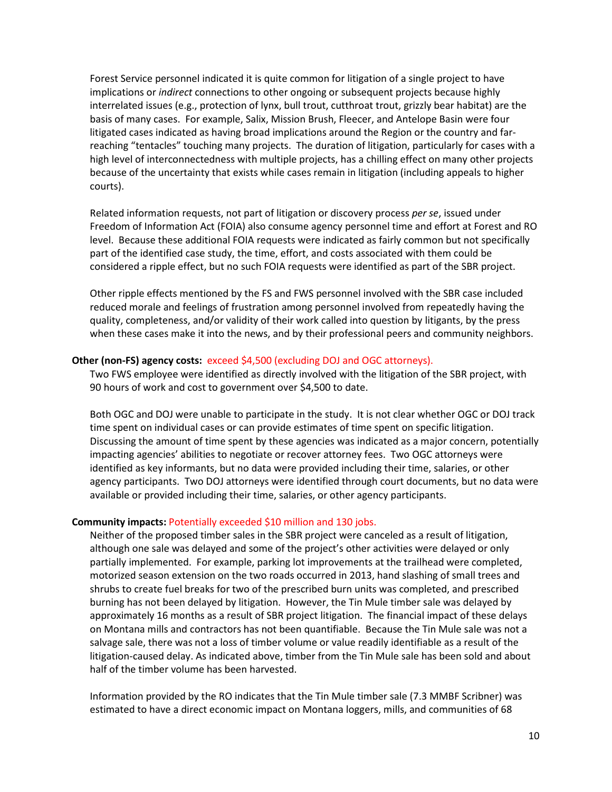Forest Service personnel indicated it is quite common for litigation of a single project to have implications or *indirect* connections to other ongoing or subsequent projects because highly interrelated issues (e.g., protection of lynx, bull trout, cutthroat trout, grizzly bear habitat) are the basis of many cases. For example, Salix, Mission Brush, Fleecer, and Antelope Basin were four litigated cases indicated as having broad implications around the Region or the country and farreaching "tentacles" touching many projects. The duration of litigation, particularly for cases with a high level of interconnectedness with multiple projects, has a chilling effect on many other projects because of the uncertainty that exists while cases remain in litigation (including appeals to higher courts).

Related information requests, not part of litigation or discovery process *per se*, issued under Freedom of Information Act (FOIA) also consume agency personnel time and effort at Forest and RO level. Because these additional FOIA requests were indicated as fairly common but not specifically part of the identified case study, the time, effort, and costs associated with them could be considered a ripple effect, but no such FOIA requests were identified as part of the SBR project.

Other ripple effects mentioned by the FS and FWS personnel involved with the SBR case included reduced morale and feelings of frustration among personnel involved from repeatedly having the quality, completeness, and/or validity of their work called into question by litigants, by the press when these cases make it into the news, and by their professional peers and community neighbors.

#### **Other (non-FS) agency costs:** exceed \$4,500 (excluding DOJ and OGC attorneys).

Two FWS employee were identified as directly involved with the litigation of the SBR project, with 90 hours of work and cost to government over \$4,500 to date.

Both OGC and DOJ were unable to participate in the study. It is not clear whether OGC or DOJ track time spent on individual cases or can provide estimates of time spent on specific litigation. Discussing the amount of time spent by these agencies was indicated as a major concern, potentially impacting agencies' abilities to negotiate or recover attorney fees. Two OGC attorneys were identified as key informants, but no data were provided including their time, salaries, or other agency participants. Two DOJ attorneys were identified through court documents, but no data were available or provided including their time, salaries, or other agency participants.

#### **Community impacts:** Potentially exceeded \$10 million and 130 jobs.

Neither of the proposed timber sales in the SBR project were canceled as a result of litigation, although one sale was delayed and some of the project's other activities were delayed or only partially implemented. For example, parking lot improvements at the trailhead were completed, motorized season extension on the two roads occurred in 2013, hand slashing of small trees and shrubs to create fuel breaks for two of the prescribed burn units was completed, and prescribed burning has not been delayed by litigation. However, the Tin Mule timber sale was delayed by approximately 16 months as a result of SBR project litigation. The financial impact of these delays on Montana mills and contractors has not been quantifiable. Because the Tin Mule sale was not a salvage sale, there was not a loss of timber volume or value readily identifiable as a result of the litigation-caused delay. As indicated above, timber from the Tin Mule sale has been sold and about half of the timber volume has been harvested.

Information provided by the RO indicates that the Tin Mule timber sale (7.3 MMBF Scribner) was estimated to have a direct economic impact on Montana loggers, mills, and communities of 68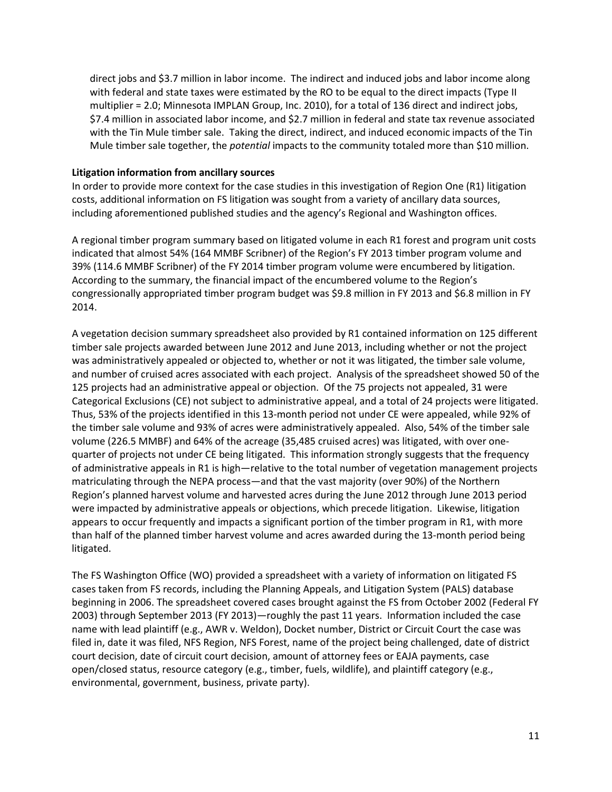direct jobs and \$3.7 million in labor income. The indirect and induced jobs and labor income along with federal and state taxes were estimated by the RO to be equal to the direct impacts (Type II multiplier = 2.0; Minnesota IMPLAN Group, Inc. 2010), for a total of 136 direct and indirect jobs, \$7.4 million in associated labor income, and \$2.7 million in federal and state tax revenue associated with the Tin Mule timber sale. Taking the direct, indirect, and induced economic impacts of the Tin Mule timber sale together, the *potential* impacts to the community totaled more than \$10 million.

#### **Litigation information from ancillary sources**

In order to provide more context for the case studies in this investigation of Region One (R1) litigation costs, additional information on FS litigation was sought from a variety of ancillary data sources, including aforementioned published studies and the agency's Regional and Washington offices.

A regional timber program summary based on litigated volume in each R1 forest and program unit costs indicated that almost 54% (164 MMBF Scribner) of the Region's FY 2013 timber program volume and 39% (114.6 MMBF Scribner) of the FY 2014 timber program volume were encumbered by litigation. According to the summary, the financial impact of the encumbered volume to the Region's congressionally appropriated timber program budget was \$9.8 million in FY 2013 and \$6.8 million in FY 2014.

A vegetation decision summary spreadsheet also provided by R1 contained information on 125 different timber sale projects awarded between June 2012 and June 2013, including whether or not the project was administratively appealed or objected to, whether or not it was litigated, the timber sale volume, and number of cruised acres associated with each project. Analysis of the spreadsheet showed 50 of the 125 projects had an administrative appeal or objection. Of the 75 projects not appealed, 31 were Categorical Exclusions (CE) not subject to administrative appeal, and a total of 24 projects were litigated. Thus, 53% of the projects identified in this 13-month period not under CE were appealed, while 92% of the timber sale volume and 93% of acres were administratively appealed. Also, 54% of the timber sale volume (226.5 MMBF) and 64% of the acreage (35,485 cruised acres) was litigated, with over onequarter of projects not under CE being litigated. This information strongly suggests that the frequency of administrative appeals in R1 is high—relative to the total number of vegetation management projects matriculating through the NEPA process—and that the vast majority (over 90%) of the Northern Region's planned harvest volume and harvested acres during the June 2012 through June 2013 period were impacted by administrative appeals or objections, which precede litigation. Likewise, litigation appears to occur frequently and impacts a significant portion of the timber program in R1, with more than half of the planned timber harvest volume and acres awarded during the 13-month period being litigated.

The FS Washington Office (WO) provided a spreadsheet with a variety of information on litigated FS cases taken from FS records, including the Planning Appeals, and Litigation System (PALS) database beginning in 2006. The spreadsheet covered cases brought against the FS from October 2002 (Federal FY 2003) through September 2013 (FY 2013)—roughly the past 11 years. Information included the case name with lead plaintiff (e.g., AWR v. Weldon), Docket number, District or Circuit Court the case was filed in, date it was filed, NFS Region, NFS Forest, name of the project being challenged, date of district court decision, date of circuit court decision, amount of attorney fees or EAJA payments, case open/closed status, resource category (e.g., timber, fuels, wildlife), and plaintiff category (e.g., environmental, government, business, private party).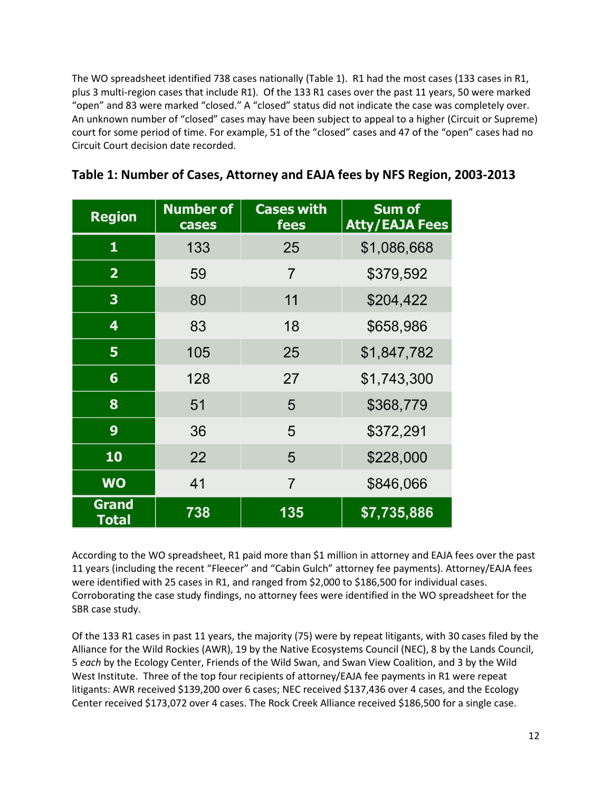The WO spreadsheet identified 738 cases nationally (Table 1). R1 had the most cases (133 cases in R1, plus 3 multi-region cases that include R1). Of the 133 R1 cases over the past 11 years, 50 were marked "open" and 83 were marked "closed." A "closed" status did not indicate the case was completely over. An unknown number of "closed" cases may have been subject to appeal to a higher (Circuit or Supreme) court for some period of time. For example, 51 of the "closed" cases and 47 of the "open" cases had no Circuit Court decision date recorded.

| <b>Region</b>           | <b>Number of</b><br>cases | <b>Cases with</b><br>fees | <b>Sum of</b><br><b>Atty/EAJA Fees</b> |
|-------------------------|---------------------------|---------------------------|----------------------------------------|
| $\mathbf{1}$            | 133                       | 25                        | \$1,086,668                            |
| $\overline{2}$          | 59                        | $\overline{7}$            | \$379,592                              |
| $\overline{\mathbf{3}}$ | 80                        | 11                        | \$204,422                              |
| 4                       | 83                        | 18                        | \$658,986                              |
| 5                       | 105                       | 25                        | \$1,847,782                            |
| 6                       | 128                       | 27                        | \$1,743,300                            |
| 8                       | 51                        | 5                         | \$368,779                              |
| 9                       | 36                        | 5                         | \$372,291                              |
| 10                      | 22                        | 5                         | \$228,000                              |
| <b>WO</b>               | 41                        | $\overline{7}$            | \$846,066                              |
| <b>Grand</b><br>Total   | 738                       | 135                       | \$7,735,886                            |

|  |  | Table 1: Number of Cases, Attorney and EAJA fees by NFS Region, 2003-2013 |
|--|--|---------------------------------------------------------------------------|
|--|--|---------------------------------------------------------------------------|

According to the WO spreadsheet, R1 paid more than \$1 million in attorney and EAJA fees over the past 11 years (including the recent "Fleecer" and "Cabin Gulch" attorney fee payments). Attorney/EAJA fees were identified with 25 cases in R1, and ranged from \$2,000 to \$186,500 for individual cases. Corroborating the case study findings, no attorney fees were identified in the WO spreadsheet for the SBR case study.

Of the 133 R1 cases in past 11 years, the majority (75) were by repeat litigants, with 30 cases filed by the Alliance for the Wild Rockies (AWR), 19 by the Native Ecosystems Council (NEC), 8 by the Lands Council, 5 *each* by the Ecology Center, Friends of the Wild Swan, and Swan View Coalition, and 3 by the Wild West Institute. Three of the top four recipients of attorney/EAJA fee payments in R1 were repeat litigants: AWR received \$139,200 over 6 cases; NEC received \$137,436 over 4 cases, and the Ecology Center received \$173,072 over 4 cases. The Rock Creek Alliance received \$186,500 for a single case.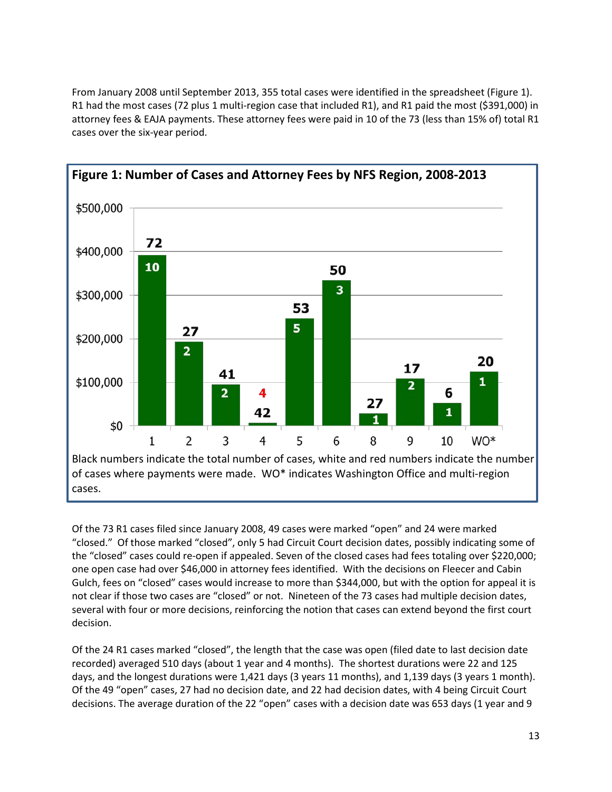From January 2008 until September 2013, 355 total cases were identified in the spreadsheet (Figure 1). R1 had the most cases (72 plus 1 multi-region case that included R1), and R1 paid the most (\$391,000) in attorney fees & EAJA payments. These attorney fees were paid in 10 of the 73 (less than 15% of) total R1 cases over the six-year period.



Of the 73 R1 cases filed since January 2008, 49 cases were marked "open" and 24 were marked "closed." Of those marked "closed", only 5 had Circuit Court decision dates, possibly indicating some of the "closed" cases could re-open if appealed. Seven of the closed cases had fees totaling over \$220,000; one open case had over \$46,000 in attorney fees identified. With the decisions on Fleecer and Cabin Gulch, fees on "closed" cases would increase to more than \$344,000, but with the option for appeal it is not clear if those two cases are "closed" or not. Nineteen of the 73 cases had multiple decision dates, several with four or more decisions, reinforcing the notion that cases can extend beyond the first court decision.

Of the 24 R1 cases marked "closed", the length that the case was open (filed date to last decision date recorded) averaged 510 days (about 1 year and 4 months). The shortest durations were 22 and 125 days, and the longest durations were 1,421 days (3 years 11 months), and 1,139 days (3 years 1 month). Of the 49 "open" cases, 27 had no decision date, and 22 had decision dates, with 4 being Circuit Court decisions. The average duration of the 22 "open" cases with a decision date was 653 days (1 year and 9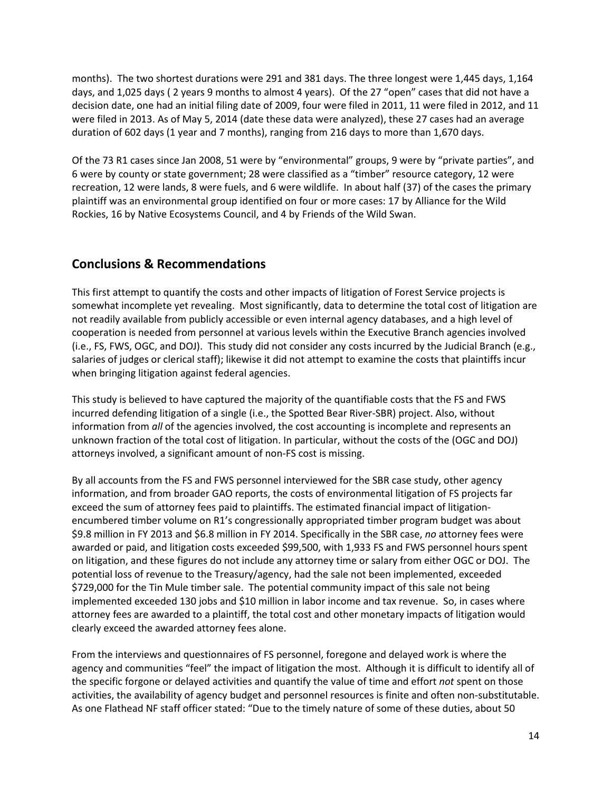months). The two shortest durations were 291 and 381 days. The three longest were 1,445 days, 1,164 days, and 1,025 days ( 2 years 9 months to almost 4 years). Of the 27 "open" cases that did not have a decision date, one had an initial filing date of 2009, four were filed in 2011, 11 were filed in 2012, and 11 were filed in 2013. As of May 5, 2014 (date these data were analyzed), these 27 cases had an average duration of 602 days (1 year and 7 months), ranging from 216 days to more than 1,670 days.

Of the 73 R1 cases since Jan 2008, 51 were by "environmental" groups, 9 were by "private parties", and 6 were by county or state government; 28 were classified as a "timber" resource category, 12 were recreation, 12 were lands, 8 were fuels, and 6 were wildlife. In about half (37) of the cases the primary plaintiff was an environmental group identified on four or more cases: 17 by Alliance for the Wild Rockies, 16 by Native Ecosystems Council, and 4 by Friends of the Wild Swan.

# **Conclusions & Recommendations**

This first attempt to quantify the costs and other impacts of litigation of Forest Service projects is somewhat incomplete yet revealing. Most significantly, data to determine the total cost of litigation are not readily available from publicly accessible or even internal agency databases, and a high level of cooperation is needed from personnel at various levels within the Executive Branch agencies involved (i.e., FS, FWS, OGC, and DOJ). This study did not consider any costs incurred by the Judicial Branch (e.g., salaries of judges or clerical staff); likewise it did not attempt to examine the costs that plaintiffs incur when bringing litigation against federal agencies.

This study is believed to have captured the majority of the quantifiable costs that the FS and FWS incurred defending litigation of a single (i.e., the Spotted Bear River-SBR) project. Also, without information from *all* of the agencies involved, the cost accounting is incomplete and represents an unknown fraction of the total cost of litigation. In particular, without the costs of the (OGC and DOJ) attorneys involved, a significant amount of non-FS cost is missing.

By all accounts from the FS and FWS personnel interviewed for the SBR case study, other agency information, and from broader GAO reports, the costs of environmental litigation of FS projects far exceed the sum of attorney fees paid to plaintiffs. The estimated financial impact of litigationencumbered timber volume on R1's congressionally appropriated timber program budget was about \$9.8 million in FY 2013 and \$6.8 million in FY 2014. Specifically in the SBR case, *no* attorney fees were awarded or paid, and litigation costs exceeded \$99,500, with 1,933 FS and FWS personnel hours spent on litigation, and these figures do not include any attorney time or salary from either OGC or DOJ. The potential loss of revenue to the Treasury/agency, had the sale not been implemented, exceeded \$729,000 for the Tin Mule timber sale. The potential community impact of this sale not being implemented exceeded 130 jobs and \$10 million in labor income and tax revenue. So, in cases where attorney fees are awarded to a plaintiff, the total cost and other monetary impacts of litigation would clearly exceed the awarded attorney fees alone.

From the interviews and questionnaires of FS personnel, foregone and delayed work is where the agency and communities "feel" the impact of litigation the most. Although it is difficult to identify all of the specific forgone or delayed activities and quantify the value of time and effort *not* spent on those activities, the availability of agency budget and personnel resources is finite and often non-substitutable. As one Flathead NF staff officer stated: "Due to the timely nature of some of these duties, about 50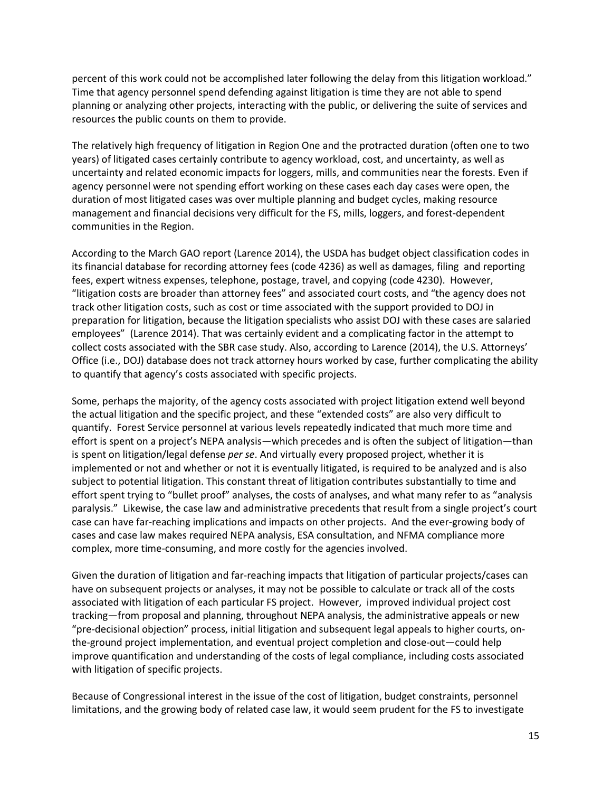percent of this work could not be accomplished later following the delay from this litigation workload." Time that agency personnel spend defending against litigation is time they are not able to spend planning or analyzing other projects, interacting with the public, or delivering the suite of services and resources the public counts on them to provide.

The relatively high frequency of litigation in Region One and the protracted duration (often one to two years) of litigated cases certainly contribute to agency workload, cost, and uncertainty, as well as uncertainty and related economic impacts for loggers, mills, and communities near the forests. Even if agency personnel were not spending effort working on these cases each day cases were open, the duration of most litigated cases was over multiple planning and budget cycles, making resource management and financial decisions very difficult for the FS, mills, loggers, and forest-dependent communities in the Region.

According to the March GAO report (Larence 2014), the USDA has budget object classification codes in its financial database for recording attorney fees (code 4236) as well as damages, filing and reporting fees, expert witness expenses, telephone, postage, travel, and copying (code 4230). However, "litigation costs are broader than attorney fees" and associated court costs, and "the agency does not track other litigation costs, such as cost or time associated with the support provided to DOJ in preparation for litigation, because the litigation specialists who assist DOJ with these cases are salaried employees" (Larence 2014). That was certainly evident and a complicating factor in the attempt to collect costs associated with the SBR case study. Also, according to Larence (2014), the U.S. Attorneys' Office (i.e., DOJ) database does not track attorney hours worked by case, further complicating the ability to quantify that agency's costs associated with specific projects.

Some, perhaps the majority, of the agency costs associated with project litigation extend well beyond the actual litigation and the specific project, and these "extended costs" are also very difficult to quantify. Forest Service personnel at various levels repeatedly indicated that much more time and effort is spent on a project's NEPA analysis—which precedes and is often the subject of litigation—than is spent on litigation/legal defense *per se*. And virtually every proposed project, whether it is implemented or not and whether or not it is eventually litigated, is required to be analyzed and is also subject to potential litigation. This constant threat of litigation contributes substantially to time and effort spent trying to "bullet proof" analyses, the costs of analyses, and what many refer to as "analysis paralysis." Likewise, the case law and administrative precedents that result from a single project's court case can have far-reaching implications and impacts on other projects. And the ever-growing body of cases and case law makes required NEPA analysis, ESA consultation, and NFMA compliance more complex, more time-consuming, and more costly for the agencies involved.

Given the duration of litigation and far-reaching impacts that litigation of particular projects/cases can have on subsequent projects or analyses, it may not be possible to calculate or track all of the costs associated with litigation of each particular FS project. However, improved individual project cost tracking—from proposal and planning, throughout NEPA analysis, the administrative appeals or new "pre-decisional objection" process, initial litigation and subsequent legal appeals to higher courts, onthe-ground project implementation, and eventual project completion and close-out—could help improve quantification and understanding of the costs of legal compliance, including costs associated with litigation of specific projects.

Because of Congressional interest in the issue of the cost of litigation, budget constraints, personnel limitations, and the growing body of related case law, it would seem prudent for the FS to investigate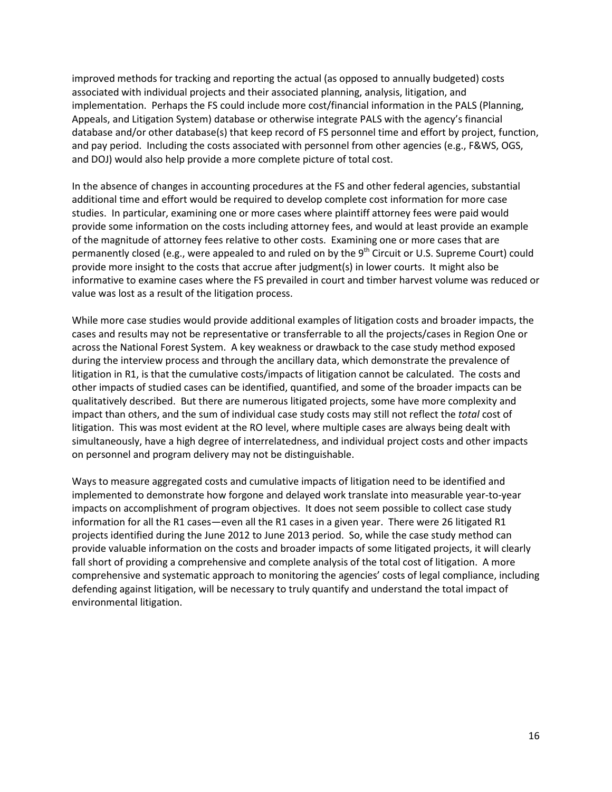improved methods for tracking and reporting the actual (as opposed to annually budgeted) costs associated with individual projects and their associated planning, analysis, litigation, and implementation. Perhaps the FS could include more cost/financial information in the PALS (Planning, Appeals, and Litigation System) database or otherwise integrate PALS with the agency's financial database and/or other database(s) that keep record of FS personnel time and effort by project, function, and pay period. Including the costs associated with personnel from other agencies (e.g., F&WS, OGS, and DOJ) would also help provide a more complete picture of total cost.

In the absence of changes in accounting procedures at the FS and other federal agencies, substantial additional time and effort would be required to develop complete cost information for more case studies. In particular, examining one or more cases where plaintiff attorney fees were paid would provide some information on the costs including attorney fees, and would at least provide an example of the magnitude of attorney fees relative to other costs. Examining one or more cases that are permanently closed (e.g., were appealed to and ruled on by the  $9<sup>th</sup>$  Circuit or U.S. Supreme Court) could provide more insight to the costs that accrue after judgment(s) in lower courts. It might also be informative to examine cases where the FS prevailed in court and timber harvest volume was reduced or value was lost as a result of the litigation process.

While more case studies would provide additional examples of litigation costs and broader impacts, the cases and results may not be representative or transferrable to all the projects/cases in Region One or across the National Forest System. A key weakness or drawback to the case study method exposed during the interview process and through the ancillary data, which demonstrate the prevalence of litigation in R1, is that the cumulative costs/impacts of litigation cannot be calculated. The costs and other impacts of studied cases can be identified, quantified, and some of the broader impacts can be qualitatively described. But there are numerous litigated projects, some have more complexity and impact than others, and the sum of individual case study costs may still not reflect the *total* cost of litigation. This was most evident at the RO level, where multiple cases are always being dealt with simultaneously, have a high degree of interrelatedness, and individual project costs and other impacts on personnel and program delivery may not be distinguishable.

Ways to measure aggregated costs and cumulative impacts of litigation need to be identified and implemented to demonstrate how forgone and delayed work translate into measurable year-to-year impacts on accomplishment of program objectives. It does not seem possible to collect case study information for all the R1 cases—even all the R1 cases in a given year. There were 26 litigated R1 projects identified during the June 2012 to June 2013 period. So, while the case study method can provide valuable information on the costs and broader impacts of some litigated projects, it will clearly fall short of providing a comprehensive and complete analysis of the total cost of litigation. A more comprehensive and systematic approach to monitoring the agencies' costs of legal compliance, including defending against litigation, will be necessary to truly quantify and understand the total impact of environmental litigation.